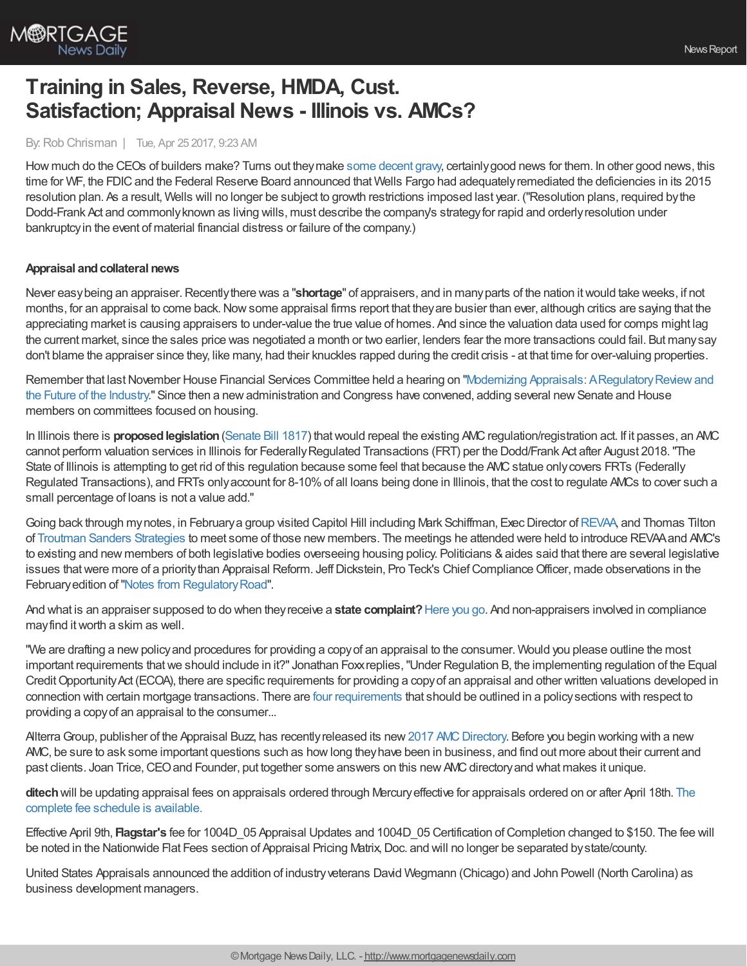

# **Training in Sales, Reverse, HMDA, Cust. Satisfaction; Appraisal News - Illinois vs. AMCs?**

### By:Rob Chrisman | Tue, Apr 25 2017, 9:23 AM

How much do the CEOs of builders make? Turns out theymake some [decent](http://www.builderonline.com/builder-100/ceo-pay-19-public-companies-ranked) gravy, certainlygood news for them. In other good news, this time for WF, the FDIC and the Federal Reserve Board announced that Wells Fargo had adequately remediated the deficiencies in its 2015 resolution plan. As a result, Wells will no longer be subject to growth restrictions imposed last year. ("Resolution plans, required bythe Dodd-Frank Act and commonlyknown as living wills, must describe the company's strategyfor rapid and orderlyresolution under bankruptcyin the event of material financial distress or failure of the company.)

### **Appraisal andcollateral news**

Never easybeing an appraiser.Recentlythere was a "**shortage**" of appraisers, and in manyparts of the nation itwould take weeks, if not months, for an appraisal to come back. Now some appraisal firms report that they are busier than ever, although critics are saying that the appreciating market is causing appraisers to under-value the true value of homes. And since the valuation data used for comps might lag the current market, since the sales price was negotiated a month or two earlier, lenders fear the more transactions could fail. But manysay don't blame the appraiser since they, like many, had their knuckles rapped during the credit crisis - at that time for over-valuing properties.

Remember that last November House Financial Services Committee held a hearing on "Modernizing Appraisals: A Regulatory Review and the Future of the Industry." Since then a new administration and Congress have convened, adding several new Senate and House members on committees focused on housing.

In Illinois there is **proposed legislation** [\(Senate](http://www.ilga.gov/legislation/fulltext.asp?DocName=&SessionId=91&GA=100&DocTypeId=SB&DocNum=1817&GAID=14&LegID=104931&SpecSess=&Session=) Bill 1817) that would repeal the existing AMC regulation/registration act. If it passes, an AMC cannot perform valuation services in Illinois for FederallyRegulated Transactions (FRT) per the Dodd/Frank Act after August 2018."The State of Illinois is attempting to get rid of this regulation because some feel that because the AMC statue only covers FRTs (Federally Regulated Transactions), and FRTs onlyaccount for 8-10%of all loans being done in Illinois, that the cost to regulate AMCs to cover such a small percentage of loans is not a value add."

Going back through mynotes, in Februarya group visited Capitol Hill including Mark Schiffman, Exec Director of [REVAA,](http://revaa.org/) and Thomas Tilton of Troutman Sanders [Strategies](http://troutmansandersstrategies.com/professionals/tom-tilton/) to meet some of those new members. The meetings he attended were held to introduce REVAAand AMC's to existing and new members of both legislative bodies overseeing housing policy. Politicians & aides said that there are several legislative issues that were more of a priority than Appraisal Reform. Jeff Dickstein, Pro Teck's Chief Compliance Officer, made observations in the February edition of "Notes from Regulatory Road".

And what is an appraiser supposed to do when theyreceive a **state complaint?**[Here](https://www.appraisalbuzz.com/get-notice-state-complaint/) you go. And non-appraisers involved in compliance mayfind itworth a skim as well.

"We are drafting a new policy and procedures for providing a copy of an appraisal to the consumer. Would you please outline the most important requirements thatwe should include in it?" Jonathan Foxxreplies,"Under Regulation B, the implementing regulation of the Equal Credit Opportunity Act (ECOA), there are specific requirements for providing a copy of an appraisal and other written valuations developed in connection with certain mortgage transactions. There are four [requirements](http://mortgage-faqs.blogspot.com/2017/04/providing-copy-of-appraisal-policy-and.html) that should be outlined in a policysections with respect to providing a copyof an appraisal to the consumer...

Allterra Group, publisher of the Appraisal Buzz, has recently released its new 2017 AMC Directory. Before you begin working with a new AMC, be sure to ask some important questions such as howlong theyhave been in business, and find out more about their current and past clients. Joan Trice, CEO and Founder, put together some answers on this new AMC directory and what makes it unique.

**ditech**will be updating appraisal fees on appraisals ordered through [Mercuryeffective](https://businesslending.ditech.com/documents/web/contenteditordocs/Exhibits/CorrespondentFeeSchedule.pdf) for appraisals ordered on or after April 18th. The complete fee schedule is available.

Effective April 9th, **Flagstar's** fee for 1004D 05 Appraisal Updates and 1004D 05 Certification of Completion changed to \$150. The fee will be noted in the Nationwide Flat Fees section of Appraisal Pricing Matrix, Doc. and will no longer be separated by state/county.

United States Appraisals announced the addition of industryveterans David Wegmann (Chicago) and John Powell (North Carolina) as business development managers.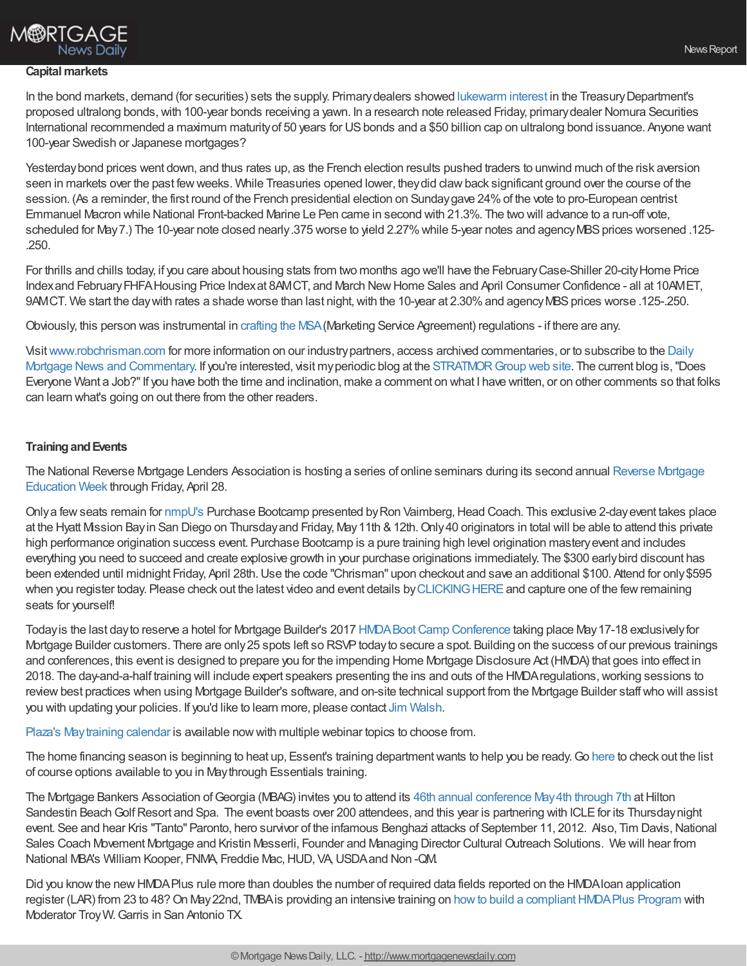## **M®RTGAGE News Daily**

#### **Capital markets**

In the bond markets, demand (for securities) sets the supply. Primarydealers showed [lukewarm](http://www.reuters.com/article/usa-bonds-ultra-idUKL1N1HT11G) interest in the TreasuryDepartment's proposed ultralong bonds,with 100-year bonds receiving a yawn. In a research note released Friday, primarydealer Nomura Securities International recommended a maximum maturity of 50 years for US bonds and a \$50 billion cap on ultralong bond issuance. Anyone want 100-year Swedish or Japanese mortgages?

Yesterdaybond prices went down, and thus rates up, as the French election results pushed traders to unwind much of the risk aversion seen in markets over the past fewweeks. While Treasuries opened lower, theydid clawback significant ground over the course of the session. (As a reminder, the first round of the French presidential election on Sundaygave 24%of the vote to pro-European centrist Emmanuel Macron while National Front-backed Marine Le Pen came in second with 21.3%. The two will advance to a run-off vote, scheduled for May 7.) The 10-year note closed nearly.375 worse to yield 2.27% while 5-year notes and agency MBS prices worsened .125-.250.

For thrills and chills today, if you care about housing stats from two months ago we'll have the FebruaryCase-Shiller 20-cityHome Price Indexand FebruaryFHFAHousing Price Indexat 8AMCT, and March NewHome Sales and April Consumer Confidence - all at 10AMET, 9AMCT. We start the day with rates a shade worse than last night, with the 10-year at 2.30% and agency MBS prices worse .125-.250.

Obviously, this person was instrumental in [crafting](https://www.youtube.com/watch?v=bZe5J8SVCYQ&app=desktop) the MSA(Marketing Service Agreement) regulations - if there are any.

[Visitwww.robchrisman.com](https://visitor.r20.constantcontact.com/manage/optin?v=001gYuebWlSSZMa7X7_YCXY1kb3CzwnrP19oUFK9_KoZDJV4iaOwzBdUL-hOWjm8RhSIJKg4ysV3v8YVQ3RsFfOwzfnO5gYhIBdWdzggo7jtQs6jdHtfo4kUhYTc6sp7bofmXZNjDBUjb4Us8Q9XvBB_A4N2cWiNWmi) for more information on our industrypartners, access archived commentaries, or to subscribe to the Daily Mortgage News and Commentary. If you're interested, visit myperiodic blog at the [STRATMORGroup](http://www.stratmorgroup.com/are-you-sure-that-rates-are-going-higher/) web site. The current blog is,"Does Everyone Want a Job?" If you have both the time and inclination, make a comment on what I have written, or on other comments so that folks can learn what's going on out there from the other readers.

### **TrainingandEvents**

The National Reverse Mortgage Lenders [Association](https://www.nrmlaonline.org/2017/04/07/calendar-events-reverse-mortgage-education-week) is hosting a series of online seminars during its second annual Reverse Mortgage Education Week through Friday, April 28.

Only a few seats remain for [nmpU's](http://nationalmortgageprofessional.com/NMPU) Purchase Bootcamp presented by Ron Vaimberg, Head Coach. This exclusive 2-day event takes place at the Hyatt Mission Bay in San Diego on Thursday and Friday, May 11th & 12th. Only 40 originators in total will be able to attend this private high performance origination success event. Purchase Bootcamp is a pure training high level origination masteryevent and includes everything you need to succeed and create explosive growth in your purchase originations immediately. The \$300 earlybird discount has been extended until midnight Friday, April 28th. Use the code "Chrisman" upon checkout and save an additional \$100. Attend for only \$595 when you register today. Please check out the latest video and event details by CLICKING HERE and capture one of the few remaining seats for yourself!

Today is the last day to reserve a hotel for Mortgage Builder's 2017 HMDA Boot Camp Conference taking place May 17-18 exclusively for Mortgage Builder customers. There are only 25 spots left so RSVP today to secure a spot. Building on the success of our previous trainings and conferences, this event is designed to prepare you for the impending Home Mortgage Disclosure Act (HMDA) that goes into effect in 2018. The day-and-a-half training will include expert speakers presenting the ins and outs of the HMDAregulations,working sessions to review best practices when using Mortgage Builder's software, and on-site technical support from the Mortgage Builder staff who will assist you with updating your policies. If you'd like to learn more, please contact Jim Walsh.

Plaza's [Maytraining](https://www.plazahomemortgage.com/calendar/) calendar is available nowwith multiple webinar topics to choose from.

The home financing season is beginning to heat up, Essent's training departmentwants to help you be ready.Go [here](http://lp.essent.us/index.php/email/emailWebview?mkt_tok=eyJpIjoiWkRGaU9UVmpOamN3WkRjMCIsInQiOiJFXC9iT1AxTVBUZUFZd1VDNGtcL29mb1dsc3pxVWFuNkh5R0RkUUZ5THhBOGxHaEcybHBQZGpzWkhyOUJyT0xMN2lUaHUzQTV3Rzd1U1dYUWpybUJNdGhBSEFCXC95MDVhbU9YYnZLbUJtUXArMGx3djFJQjc3Z1BpNHk5Y01PR2o4ZyJ9) to check out the list of course options available to you in Maythrough Essentials training.

The Mortgage Bankers Association of Georgia (MBAG) invites you to attend its 46th annual [conference](http://www.mbag.org/) May 4th through 7th at Hilton Sandestin Beach Golf Resort and Spa. The event boasts over 200 attendees, and this year is partnering with ICLE for its Thursday night event. See and hear Kris "Tanto" Paronto, hero survivor of the infamous Benghazi attacks of September 11, 2012. Also, Tim Davis, National Sales Coach Movement Mortgage and Kristin Messerli, Founder and Managing Director Cultural Outreach Solutions. We will hear from National MBA's William Kooper, FNMA, Freddie Mac, HUD, VA, USDA and Non -QM.

Did you know the new HMDAPlus rule more than doubles the number of required data fields reported on the HMDAIoan application register (LAR) from 23 to 48? On May 22nd, TMBA is providing an intensive training on how to build a compliant HMDA Plus Program with Moderator TroyW.Garris in San Antonio TX.